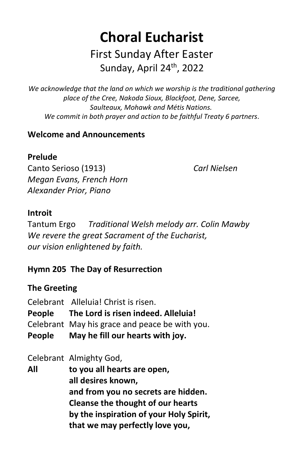# **Choral Eucharist**  First Sunday After Easter Sunday, April 24<sup>th</sup>, 2022

*We acknowledge that the land on which we worship is the traditional gathering place of the Cree, Nakoda Sioux, Blackfoot, Dene, Sarcee, Saulteaux, Mohawk and Métis Nations. We commit in both prayer and action to be faithful Treaty 6 partners.*

# **Welcome and Announcements**

# **Prelude**

Canto Serioso (1913) *Carl Nielsen Megan Evans, French Horn Alexander Prior, Piano* 

# **Introit**

Tantum Ergo *Traditional Welsh melody arr. Colin Mawby We revere the great Sacrament of the Eucharist, our vision enlightened by faith.*

# **Hymn 205 The Day of Resurrection**

# **The Greeting**

| Celebrant May his grace and peace be with you.<br>May he fill our hearts with joy. |
|------------------------------------------------------------------------------------|
|                                                                                    |

Celebrant Almighty God,

**All to you all hearts are open, all desires known, and from you no secrets are hidden. Cleanse the thought of our hearts by the inspiration of your Holy Spirit, that we may perfectly love you,**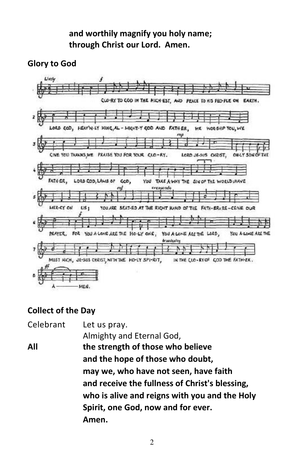# **and worthily magnify you holy name; through Christ our Lord. Amen.**

# **Glory to God**



# **Collect of the Day**

Celebrant Let us pray. Almighty and Eternal God, **All the strength of those who believe and the hope of those who doubt, may we, who have not seen, have faith and receive the fullness of Christ's blessing, who is alive and reigns with you and the Holy Spirit, one God, now and for ever. Amen.**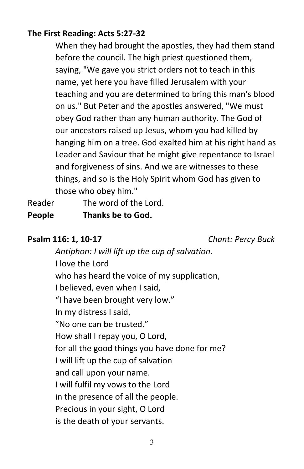# **The First Reading: Acts 5:27-32**

When they had brought the apostles, they had them stand before the council. The high priest questioned them, saying, "We gave you strict orders not to teach in this name, yet here you have filled Jerusalem with your teaching and you are determined to bring this man's blood on us." But Peter and the apostles answered, "We must obey God rather than any human authority. The God of our ancestors raised up Jesus, whom you had killed by hanging him on a tree. God exalted him at his right hand as Leader and Saviour that he might give repentance to Israel and forgiveness of sins. And we are witnesses to these things, and so is the Holy Spirit whom God has given to those who obey him."

Reader The word of the Lord. **People Thanks be to God.** 

#### **Psalm 116: 1, 10-17** *Chant: Percy Buck*

*Antiphon: I will lift up the cup of salvation.* I love the Lord who has heard the voice of my supplication, I believed, even when I said, "I have been brought very low." In my distress I said, "No one can be trusted." How shall I repay you, O Lord, for all the good things you have done for me? I will lift up the cup of salvation and call upon your name. I will fulfil my vows to the Lord in the presence of all the people. Precious in your sight, O Lord is the death of your servants.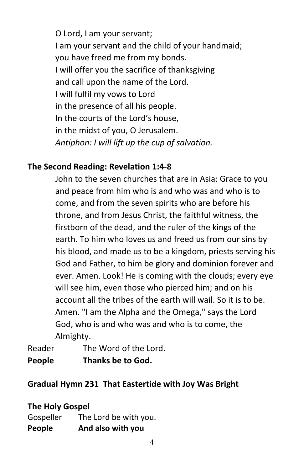O Lord, I am your servant; I am your servant and the child of your handmaid; you have freed me from my bonds. I will offer you the sacrifice of thanksgiving and call upon the name of the Lord. I will fulfil my vows to Lord in the presence of all his people. In the courts of the Lord's house, in the midst of you, O Jerusalem. *Antiphon: I will lift up the cup of salvation.*

#### **The Second Reading: Revelation 1:4-8**

John to the seven churches that are in Asia: Grace to you and peace from him who is and who was and who is to come, and from the seven spirits who are before his throne, and from Jesus Christ, the faithful witness, the firstborn of the dead, and the ruler of the kings of the earth. To him who loves us and freed us from our sins by his blood, and made us to be a kingdom, priests serving his God and Father, to him be glory and dominion forever and ever. Amen. Look! He is coming with the clouds; every eye will see him, even those who pierced him; and on his account all the tribes of the earth will wail. So it is to be. Amen. "I am the Alpha and the Omega," says the Lord God, who is and who was and who is to come, the Almighty.

Reader The Word of the Lord. **People Thanks be to God.** 

# **Gradual Hymn 231 That Eastertide with Joy Was Bright**

# **The Holy Gospel**

Gospeller The Lord be with you. **People And also with you**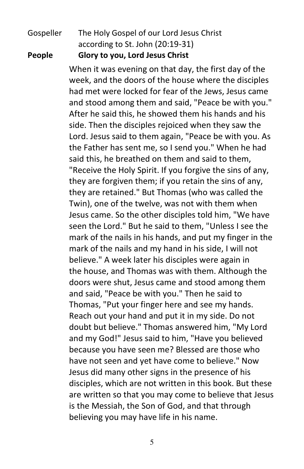# Gospeller The Holy Gospel of our Lord Jesus Christ according to St. John (20:19-31)

**People Glory to you, Lord Jesus Christ** 

When it was evening on that day, the first day of the week, and the doors of the house where the disciples had met were locked for fear of the Jews, Jesus came and stood among them and said, "Peace be with you." After he said this, he showed them his hands and his side. Then the disciples rejoiced when they saw the Lord. Jesus said to them again, "Peace be with you. As the Father has sent me, so I send you." When he had said this, he breathed on them and said to them, "Receive the Holy Spirit. If you forgive the sins of any, they are forgiven them; if you retain the sins of any, they are retained." But Thomas (who was called the Twin), one of the twelve, was not with them when Jesus came. So the other disciples told him, "We have seen the Lord." But he said to them, "Unless I see the mark of the nails in his hands, and put my finger in the mark of the nails and my hand in his side, I will not believe." A week later his disciples were again in the house, and Thomas was with them. Although the doors were shut, Jesus came and stood among them and said, "Peace be with you." Then he said to Thomas, "Put your finger here and see my hands. Reach out your hand and put it in my side. Do not doubt but believe." Thomas answered him, "My Lord and my God!" Jesus said to him, "Have you believed because you have seen me? Blessed are those who have not seen and yet have come to believe." Now Jesus did many other signs in the presence of his disciples, which are not written in this book. But these are written so that you may come to believe that Jesus is the Messiah, the Son of God, and that through believing you may have life in his name.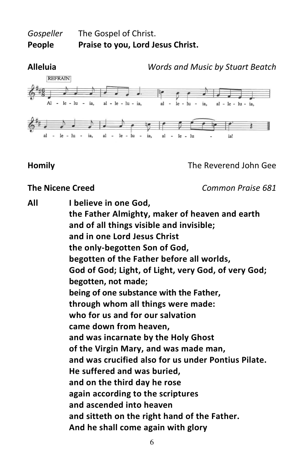# *Gospeller* The Gospel of Christ. **People Praise to you, Lord Jesus Christ.**



#### **Homily** The Reverend John Gee

**The Nicene Creed** *Common Praise 681* 

**All I believe in one God,** 

**the Father Almighty, maker of heaven and earth and of all things visible and invisible; and in one Lord Jesus Christ the only-begotten Son of God, begotten of the Father before all worlds, God of God; Light, of Light, very God, of very God; begotten, not made; being of one substance with the Father, through whom all things were made: who for us and for our salvation came down from heaven, and was incarnate by the Holy Ghost of the Virgin Mary, and was made man, and was crucified also for us under Pontius Pilate. He suffered and was buried, and on the third day he rose again according to the scriptures and ascended into heaven and sitteth on the right hand of the Father. And he shall come again with glory**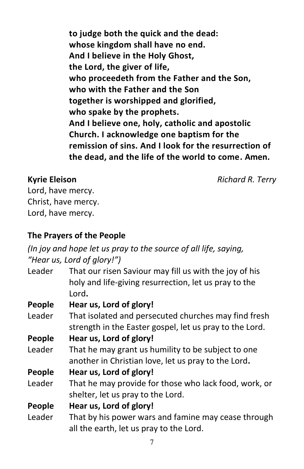**to judge both the quick and the dead: whose kingdom shall have no end. And I believe in the Holy Ghost, the Lord, the giver of life, who proceedeth from the Father and the Son, who with the Father and the Son together is worshipped and glorified, who spake by the prophets. And I believe one, holy, catholic and apostolic Church. I acknowledge one baptism for the remission of sins. And I look for the resurrection of the dead, and the life of the world to come. Amen.** 

**Kyrie Eleison** *Richard R. Terry*

Lord, have mercy. Christ, have mercy. Lord, have mercy.

# **The Prayers of the People**

*(In joy and hope let us pray to the source of all life, saying, "Hear us, Lord of glory!")*

| Leader | That our risen Saviour may fill us with the joy of his  |
|--------|---------------------------------------------------------|
|        | holy and life-giving resurrection, let us pray to the   |
|        | Lord.                                                   |
| People | Hear us, Lord of glory!                                 |
| Leader | That isolated and persecuted churches may find fresh    |
|        | strength in the Easter gospel, let us pray to the Lord. |
| People | Hear us, Lord of glory!                                 |
| Leader | That he may grant us humility to be subject to one      |

another in Christian love, let us pray to the Lord**.** 

# **People Hear us, Lord of glory!**

Leader That he may provide for those who lack food, work, or shelter, let us pray to the Lord.

# **People Hear us, Lord of glory!**

Leader That by his power wars and famine may cease through all the earth, let us pray to the Lord.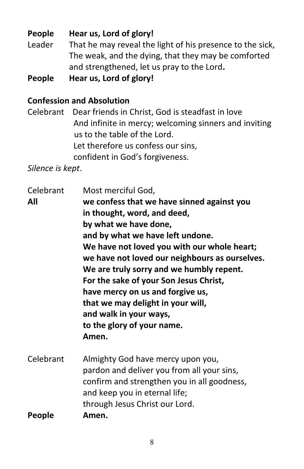**People Hear us, Lord of glory!**  Leader That he may reveal the light of his presence to the sick, The weak, and the dying, that they may be comforted and strengthened, let us pray to the Lord**.** 

**People Hear us, Lord of glory!** 

# **Confession and Absolution**

Celebrant Dear friends in Christ, God is steadfast in love And infinite in mercy; welcoming sinners and inviting us to the table of the Lord. Let therefore us confess our sins, confident in God's forgiveness.

*Silence is kept*.

Celebrant Most merciful God, **All we confess that we have sinned against you in thought, word, and deed, by what we have done, and by what we have left undone. We have not loved you with our whole heart; we have not loved our neighbours as ourselves. We are truly sorry and we humbly repent. For the sake of your Son Jesus Christ, have mercy on us and forgive us, that we may delight in your will, and walk in your ways, to the glory of your name. Amen.**  Celebrant Almighty God have mercy upon you, pardon and deliver you from all your sins, confirm and strengthen you in all goodness, and keep you in eternal life; through Jesus Christ our Lord. **People Amen.**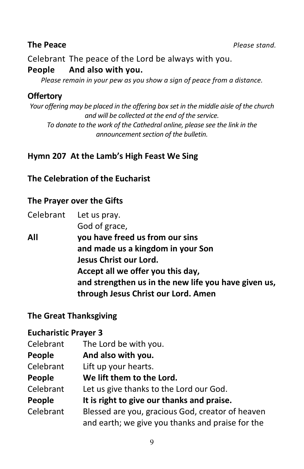Celebrant The peace of the Lord be always with you.

#### **People And also with you.**

*Please remain in your pew as you show a sign of peace from a distance.* 

#### **Offertory**

*Your offering may be placed in the offering box set in the middle aisle of the church and will be collected at the end of the service. To donate to the work of the Cathedral online, please see the link in the announcement section of the bulletin.* 

# **Hymn 207 At the Lamb's High Feast We Sing**

# **The Celebration of the Eucharist**

#### **The Prayer over the Gifts**

Celebrant Let us pray. God of grace, **All you have freed us from our sins and made us a kingdom in your Son Jesus Christ our Lord. Accept all we offer you this day, and strengthen us in the new life you have given us, through Jesus Christ our Lord. Amen** 

# **The Great Thanksgiving**

# **Eucharistic Prayer 3**

| Celebrant | The Lord be with you.                            |
|-----------|--------------------------------------------------|
| People    | And also with you.                               |
| Celebrant | Lift up your hearts.                             |
| People    | We lift them to the Lord.                        |
| Celebrant | Let us give thanks to the Lord our God.          |
| People    | It is right to give our thanks and praise.       |
| Celebrant | Blessed are you, gracious God, creator of heaven |
|           | and earth; we give you thanks and praise for the |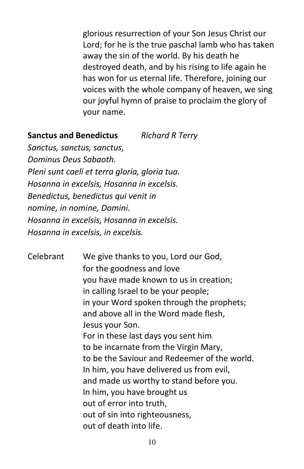glorious resurrection of your Son Jesus Christ our Lord; for he is the true paschal lamb who has taken away the sin of the world. By his death he destroyed death, and by his rising to life again he has won for us eternal life. Therefore, joining our voices with the whole company of heaven, we sing our joyful hymn of praise to proclaim the glory of your name.

#### **Sanctus and Benedictus** *Richard R Terry*

*Sanctus, sanctus, sanctus, Dominus Deus Sabaoth. Pleni sunt caeli et terra gloria, gloria tua. Hosanna in excelsis, Hosanna in excelsis. Benedictus, benedictus qui venit in nomine, in nomine, Domini. Hosanna in excelsis, Hosanna in excelsis. Hosanna in excelsis, in excelsis.* 

Celebrant We give thanks to you, Lord our God, for the goodness and love you have made known to us in creation; in calling Israel to be your people; in your Word spoken through the prophets; and above all in the Word made flesh, Jesus your Son. For in these last days you sent him to be incarnate from the Virgin Mary, to be the Saviour and Redeemer of the world. In him, you have delivered us from evil, and made us worthy to stand before you. In him, you have brought us out of error into truth, out of sin into righteousness, out of death into life.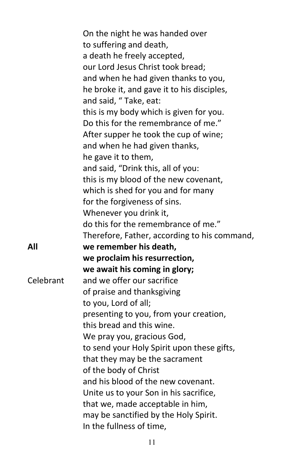|           | On the night he was handed over              |
|-----------|----------------------------------------------|
|           | to suffering and death,                      |
|           | a death he freely accepted,                  |
|           | our Lord Jesus Christ took bread;            |
|           | and when he had given thanks to you,         |
|           | he broke it, and gave it to his disciples,   |
|           | and said, "Take, eat:                        |
|           | this is my body which is given for you.      |
|           | Do this for the remembrance of me."          |
|           | After supper he took the cup of wine;        |
|           | and when he had given thanks,                |
|           | he gave it to them,                          |
|           | and said, "Drink this, all of you:           |
|           | this is my blood of the new covenant,        |
|           | which is shed for you and for many           |
|           | for the forgiveness of sins.                 |
|           | Whenever you drink it,                       |
|           | do this for the remembrance of me."          |
|           | Therefore, Father, according to his command, |
| All       | we remember his death,                       |
|           | we proclaim his resurrection,                |
|           | we await his coming in glory;                |
| Celebrant | and we offer our sacrifice                   |
|           | of praise and thanksgiving                   |
|           | to you, Lord of all;                         |
|           | presenting to you, from your creation,       |
|           | this bread and this wine.                    |
|           | We pray you, gracious God,                   |
|           | to send your Holy Spirit upon these gifts,   |
|           | that they may be the sacrament               |
|           | of the body of Christ                        |
|           | and his blood of the new covenant.           |
|           | Unite us to your Son in his sacrifice,       |
|           | that we, made acceptable in him,             |
|           | may be sanctified by the Holy Spirit.        |
|           | In the fullness of time,                     |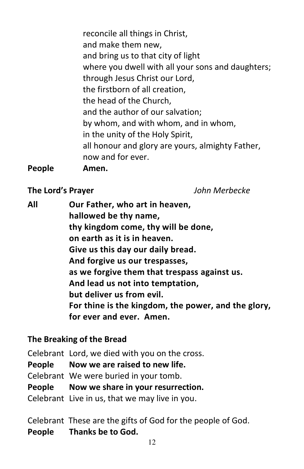reconcile all things in Christ, and make them new, and bring us to that city of light where you dwell with all your sons and daughters; through Jesus Christ our Lord, the firstborn of all creation, the head of the Church, and the author of our salvation; by whom, and with whom, and in whom, in the unity of the Holy Spirit, all honour and glory are yours, almighty Father, now and for ever.

**People****Amen.** 

# **The Lord's Prayer** *John Merbecke*

**All Our Father, who art in heaven, hallowed be thy name, thy kingdom come, thy will be done, on earth as it is in heaven. Give us this day our daily bread. And forgive us our trespasses, as we forgive them that trespass against us. And lead us not into temptation, but deliver us from evil. For thine is the kingdom, the power, and the glory, for ever and ever. Amen.** 

# **The Breaking of the Bread**

Celebrant Lord, we died with you on the cross. **People Now we are raised to new life.**  Celebrant We were buried in your tomb. **People Now we share in your resurrection.**  Celebrant Live in us, that we may live in you.

Celebrant These are the gifts of God for the people of God. **People Thanks be to God.**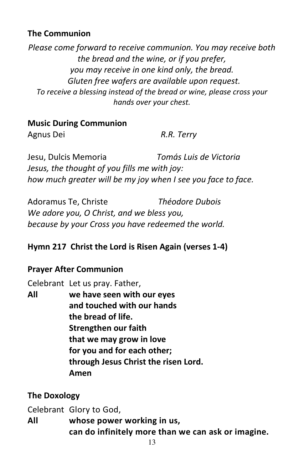# **The Communion**

*Please come forward to receive communion. You may receive both the bread and the wine, or if you prefer, you may receive in one kind only, the bread. Gluten free wafers are available upon request. To receive a blessing instead of the bread or wine, please cross your hands over your chest.* 

#### **Music During Communion**

Agnus Dei *R.R. Terry* 

Jesu, Dulcis Memoria *Tomás Luis de Victoria Jesus, the thought of you fills me with joy: how much greater will be my joy when I see you face to face.*

Adoramus Te, Christe *Théodore Dubois We adore you, O Christ, and we bless you, because by your Cross you have redeemed the world.*

# **Hymn 217 Christ the Lord is Risen Again (verses 1-4)**

# **Prayer After Communion**

Celebrant Let us pray. Father,

**All we have seen with our eyes and touched with our hands the bread of life. Strengthen our faith that we may grow in love for you and for each other; through Jesus Christ the risen Lord. Amen** 

# **The Doxology**

Celebrant Glory to God,

**All whose power working in us, can do infinitely more than we can ask or imagine.**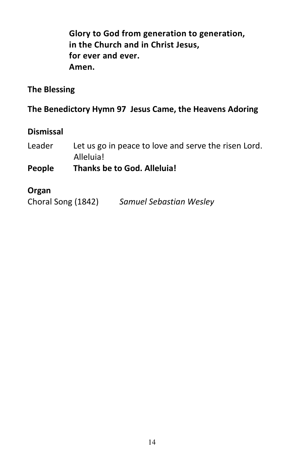**Glory to God from generation to generation, in the Church and in Christ Jesus, for ever and ever. Amen.** 

#### **The Blessing**

**The Benedictory Hymn 97 Jesus Came, the Heavens Adoring** 

#### **Dismissal**

Leader Let us go in peace to love and serve the risen Lord. Alleluia!

# **People Thanks be to God. Alleluia!**

#### **Organ**

Choral Song (1842) *Samuel Sebastian Wesley*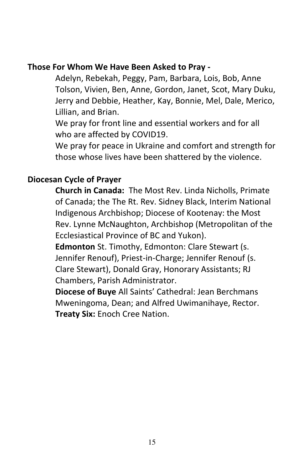#### **Those For Whom We Have Been Asked to Pray -**

Adelyn, Rebekah, Peggy, Pam, Barbara, Lois, Bob, Anne Tolson, Vivien, Ben, Anne, Gordon, Janet, Scot, Mary Duku, Jerry and Debbie, Heather, Kay, Bonnie, Mel, Dale, Merico, Lillian, and Brian.

We pray for front line and essential workers and for all who are affected by COVID19.

We pray for peace in Ukraine and comfort and strength for those whose lives have been shattered by the violence.

# **Diocesan Cycle of Prayer**

**Church in Canada:** The Most Rev. Linda Nicholls, Primate of Canada; the The Rt. Rev. Sidney Black, Interim National Indigenous Archbishop; Diocese of Kootenay: the Most Rev. Lynne McNaughton, Archbishop (Metropolitan of the Ecclesiastical Province of BC and Yukon).

**Edmonton** St. Timothy, Edmonton: Clare Stewart (s. Jennifer Renouf), Priest-in-Charge; Jennifer Renouf (s. Clare Stewart), Donald Gray, Honorary Assistants; RJ Chambers, Parish Administrator.

**Diocese of Buye** All Saints' Cathedral: Jean Berchmans Mweningoma, Dean; and Alfred Uwimanihaye, Rector. **Treaty Six:** Enoch Cree Nation.